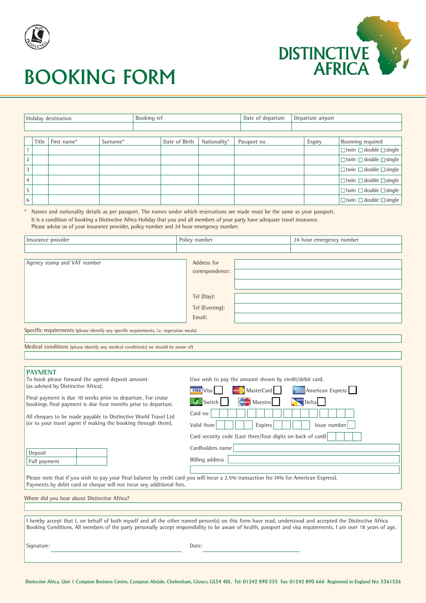



# BOOKING FORM

| Holiday destination |       |             | Booking ref |  |               | Date of departure | Departure airport |        |                                         |
|---------------------|-------|-------------|-------------|--|---------------|-------------------|-------------------|--------|-----------------------------------------|
|                     |       |             |             |  |               |                   |                   |        |                                         |
|                     |       |             |             |  |               |                   |                   |        |                                         |
|                     | Title | First name* | Surname*    |  | Date of Birth | Nationality*      | Passport no       | Expiry | Rooming required                        |
|                     |       |             |             |  |               |                   |                   |        | $\Box$ twin $\Box$ double $\Box$ single |
| 2                   |       |             |             |  |               |                   |                   |        | $\Box$ twin $\Box$ double $\Box$ single |
| 3                   |       |             |             |  |               |                   |                   |        | $\Box$ twin $\Box$ double $\Box$ single |
| $\overline{4}$      |       |             |             |  |               |                   |                   |        | $\Box$ twin $\Box$ double $\Box$ single |
| 5                   |       |             |             |  |               |                   |                   |        | $\Box$ twin $\Box$ double $\Box$ single |
| 6                   |       |             |             |  |               |                   |                   |        | $\Box$ twin $\Box$ double $\Box$ single |

\* Names and nationality details as per passport. The names under which reservations are made must be the same as your passport. It is a condition of booking a Distinctive Africa Holiday that you and all members of your party have adequate travel insurance. Please advise us of your insurance provider, policy number and 24 hour emergency number.

| Insurance provider                                                                       | Policy number   | 24 hour emergency number |  |  |  |
|------------------------------------------------------------------------------------------|-----------------|--------------------------|--|--|--|
|                                                                                          |                 |                          |  |  |  |
|                                                                                          |                 |                          |  |  |  |
| Agency stamp and VAT number                                                              | Address for     |                          |  |  |  |
|                                                                                          | correspondence: |                          |  |  |  |
|                                                                                          |                 |                          |  |  |  |
|                                                                                          | Tel (Day):      |                          |  |  |  |
|                                                                                          | Tel (Evening):  |                          |  |  |  |
|                                                                                          | Email:          |                          |  |  |  |
| Specific requirements (please identify any specific requirements, i.e. vegetarian meals) |                 |                          |  |  |  |

Medical conditions (please identify any medical condition(s) we should be aware of)

| <b>PAYMENT</b>                                                                                                                         |                                                                |  |  |  |  |  |
|----------------------------------------------------------------------------------------------------------------------------------------|----------------------------------------------------------------|--|--|--|--|--|
| To book please forward the agreed deposit amount                                                                                       | l/we wish to pay the amount shown by credit/debit card.        |  |  |  |  |  |
| (as advised by Distinctive Africa).                                                                                                    | <b>MARK American Express</b><br>MasterCard<br><b>VISA</b> Visa |  |  |  |  |  |
| Final payment is due 10 weeks prior to departure. For cruise<br>bookings final payment is due four months prior to departure.          | 5 Switch<br>Delta  <br><b>Manufacture</b> Maestro              |  |  |  |  |  |
| All cheques to be made payable to Distinctive World Travel Ltd                                                                         | Card no                                                        |  |  |  |  |  |
| $\alpha$ (or to your travel agent if making the booking through them).                                                                 | Valid from<br>Expires<br>Issue number                          |  |  |  |  |  |
|                                                                                                                                        | Card security code (Last three/four digits on back of card)    |  |  |  |  |  |
| Deposit                                                                                                                                | Cardholders name                                               |  |  |  |  |  |
| Full payment                                                                                                                           | Billing address                                                |  |  |  |  |  |
|                                                                                                                                        |                                                                |  |  |  |  |  |
| Please note that if you wish to pay your final balance by credit card you will incur a 2.5% transaction fee (4% for American Express). |                                                                |  |  |  |  |  |
| Payments by debit card or cheque will not incur any additional fees.                                                                   |                                                                |  |  |  |  |  |
| Where did you hear about Distinctive Africa?                                                                                           |                                                                |  |  |  |  |  |

|            | 1 hereby accept that 1, on behalf of both myself and all the other named person(s) on this form have read, understood and accepted the Distinctive Africa<br>Booking Conditions. All members of the party personally accept responsibility to be aware of health, passport and visa requirements. I am over 18 years of age. |
|------------|------------------------------------------------------------------------------------------------------------------------------------------------------------------------------------------------------------------------------------------------------------------------------------------------------------------------------|
| Signature: | Date:                                                                                                                                                                                                                                                                                                                        |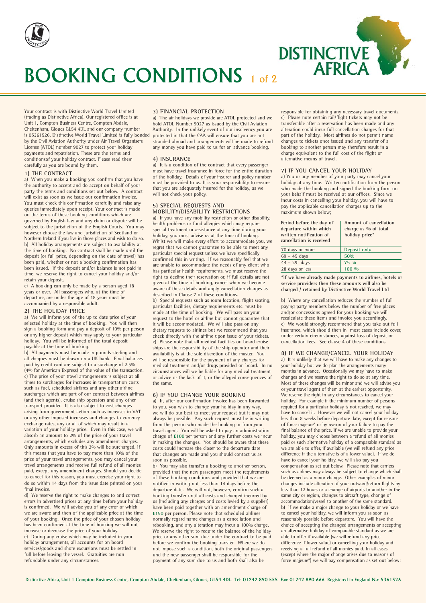



Your contract is with Distinctive World Travel Limited Unit 1, Compton Business Centre, Compton Abdale, Cheltenham, Gloucs GL54 4DL and our company number is 05361526. Distinctive World Travel Limited is fully bonded by the Civil Aviation Authority under Air Travel Organisers License (ATOL) number 9027 to protect your holiday payments and repatriation. These are the terms and conditionsof your holiday contract. Please read them carefully as you are bound by them. (trading as Distinctive Africa). Our registered office is at

### **1) THE CONTRACT**

a) When you make a booking you confirm that you have the authority to accept and do accept on behalf of your party the terms and conditions set out below. A contract will exist as soon as we issue our confirmation invoice. You must check this confirmation carefully and raise any queries immediately upon receipt. Your contract is made on the terms of these booking conditions which are governed by English law and any claim or dispute will be subject to the jurisdiction of the English Courts. You may however choose the law and jurisdiction of Scotland or Northern Ireland if you live in those places and wish to do so. b) All holiday arrangements are subject to availability at the time of booking. No contract shall be made until the deposit (or full price, depending on the date of travel) has been paid, whether or not a booking confirmation has been issued. If the deposit and/or balance is not paid in time, we reserve the right to cancel your holiday and/or retain your deposit.

c) A booking can only be made by a person aged 18 years or over. All passengers who, at the time of departure, are under the age of 18 years must be accompanied by a responsible adult.

#### **2) THE HOLIDAY PRICE**

a) We will inform you of the up to date price of your selected holiday at the time of booking. You will then sign a booking form and pay a deposit of 10% per person or any higher deposit which may apply to your particular holiday. You will be informed of the total deposit payable at the time of booking.

b) All payments must be made in pounds sterling and all cheques must be drawn on a UK bank. Final balances paid by credit card are subject to a surcharge of 2.5% (4% for American Express) of the value of the transaction. c) The price of your travel arrangements is subject at all times to surcharges for increases in transportation costs such as fuel, scheduled airfares and any other airline surcharges which are part of our contract between airlines (and their agents), cruise ship operators and any other transport provider. It is also subject to cost changes arising from government action such as increases in VAT or any other imposed increases and changes to currency exchange rates, any or all of which may result in a variation of your holiday price. Even in this case, we will absorb an amount to 2% of the price of your travel arrangements, which excludes any amendment charges. Only amounts in excess of this 2% will be surcharged. If this means that you have to pay more than 10% of the price of your travel arrangements, you may cancel your travel arrangements and receive full refund of all monies paid, except any amendment charges. Should you decide to cancel for this reason, you must exercise your right to do so within 14 days from the issue date printed on your final invoice.

d) We reserve the right to make changes to and correct errors in advertised prices at any time before your holiday is confirmed. We will advise you of any error of which we are aware and then of the applicable price at the time of your booking. Once the price of your chosen holiday has been confirmed at the time of booking we will not increase or decrease the price of your holiday. e) During any cruise which may be included in your holiday arrangements, all accounts for on board services/goods and shore excursions must be settled in full before leaving the vessel. Gratuities are non refundable under any circumstances.

#### **3) FINANCIAL PROTECTION**

a) The air holidays we provide are ATOL protected and we hold ATOL Number 9027 as issued by the Civil Aviation Authority. In the unlikely event of our insolvency you are protected in that the CAA will ensure that you are not stranded abroad and arrangements will be made to refund any money you have paid to us for an advance booking.

# **4) INSURANCE**

a) It is a condition of the contract that every passenger must have travel insurance in force for the entire duration of the holiday. Details of your insurer and policy number must be provided to us. It is your responsibility to ensure that you are adequately insured for the holiday, as we will not check your policy.

#### **5) SPECIAL REQUESTS AND MOBILITY/DISABILITY RESTRICTIONS**

a) If you have any mobility restriction or other disability, health problems or food allergies which may require special treatment or assistance at any time during your holiday, you must advise us at the time of booking. Whilst we will make every effort to accommodate you, we regret that we cannot guarantee to be able to meet any particular special request unless we have specifically confirmed this in writing. If we reasonably feel that we are unable to accommodate the needs of any client who has particular health requirements, we must reserve the right to decline their reservation or, if full details are not given at the time of booking, cancel when we become aware of these details and apply cancellation charges as described in Clause 7 of these conditions. b) Special requests such as room location, flight seating, particular facilities, dietary requirements etc. must be made at the time of booking. We will pass on your request to the hotel or airline but cannot guarantee that it will be accommodated. We will also pass on any dietary requests to airlines but we recommend that you check directly with the airline upon issue of your tickets. c) Please note that all medical facilities on board cruise ships are the responsibility of the ship operator and their availability is at the sole discretion of the master. You will be responsible for the payment of any charges for medical treatment and/or drugs provided on board. In no circumstances will we be liable for any medical treatment or advice or the lack of it, or the alleged consequences of the same.

# **6) IF YOU CHANGE YOUR BOOKING**

a) If, after our confirmation invoice has been forwarded to you, you wish to change your holiday in any way, we will do our best to meet your request but it may not always be possible. Any such request must be in writing from the person who made the booking or from your travel agent. You will be asked to pay an administration charge of **£100** per person and any further costs we incur in making the changes. You should be aware that these costs could increase the closer to the departure date that changes are made and you should contact us as soon as possible.

b) You may also transfer a booking to another person, provided that the new passengers meet the requirements of these booking conditions and provided that we are notified in writing not less than 14 days before the departure date. We will not, however, confirm such a booking transfer until all costs and charged incurred by us (including any charges and costs levied by a supplier) have been paid together with an amendment charge of **£150** per person. Please note that scheduled airlines normally regard name changes as a cancellation and rebooking, and any alteration may incur a 100% charge. We reserve the right to require the balance of the holiday price or any other sum due under the contract to be paid before we confirm the booking transfer. Where we do not impose such a condition, both the original passengers and the new passenger shall be responsible for the payment of any sum due to us and both shall also be

responsible for obtaining any necessary travel documents. c) Please note certain rail/flight tickets may not be transferable after a reservation has been made and any alteration could incur full cancellation charges for that part of the holiday. Most airlines do not permit name changes to tickets once issued and any transfer of a booking to another person may therefore result in a charge equivalent to the full cost of the flight or alternative means of travel.

### **7) IF YOU CANCEL YOUR HOLIDAY**

a) You or any member of your party may cancel your holiday at any time. Written notification from the person who made the booking and signed the booking form on your behalf must be received at our offices. Since we incur costs in cancelling your holiday, you will have to pay the applicable cancellation charges up to the maximum shown below;

| Period before the day of<br>departure within which<br>written notification of<br>cancellation is received | Amount of cancellation<br>charge as % of total<br>holiday price* |
|-----------------------------------------------------------------------------------------------------------|------------------------------------------------------------------|
| 70 days or more                                                                                           | Deposit only                                                     |
| $69 - 45$ days                                                                                            | 50%                                                              |
| $44 - 29$ days                                                                                            | 75 %                                                             |
| 28 days or less                                                                                           | $100 \frac{0}{0}$                                                |

**\*If we have already made payments to airlines, hotels or service providers then these amounts will also be charged / retained by Distinctive World Travel Ltd**

b) Where any cancellation reduces the number of full paying party members below the number of free places and/or concessions agreed for your booking we will recalculate these items and invoice you accordingly. c) We would strongly recommend that you take out full insurance, which should then in most cases include cover, under certain circumstances, against loss of deposit or cancellation fees. See clause 4 of these conditions.

#### **8) IF WE CHANGE/CANCEL YOUR HOLIDAY**

a) It is unlikely that we will have to make any changes to your holiday but we do plan the arrangements many months in advance. Occasionally we may have to make changes and we reserve the right to do so at any time. Most of these changes will be minor and we will advise you or your travel agent of them at the earliest opportunity. We reserve the right in any circumstances to cancel your holiday. For example if the minimum number of persons required for a particular holiday is not reached, we may have to cancel it. However we will not cancel your holiday less than 8 weeks before departure date, except for reasons of force majeure\* or by reason of your failure to pay the final balance of the price. If we are unable to provide your holiday, you may choose between a refund of all monies paid or such alternative holiday of a comparable standard as we are able to offer, if available (we will refund any price difference if the alternative is of a lower value). If we do have to cancel your holiday, we will also pay you compensation as set out below. Please note that carriers such as airlines may always be subject to change which shall be deemed as a minor change. Other examples of minor changes include alteration of your outward/return flights by less than 12 hours or a change of airports to another in the same city or region, changes to aircraft type, change of accommodation/vessel to another of the same standard. b) If we make a major change to your holiday or we have to cancel your holiday, we will inform you as soon as reasonably possible before departure. You will have the choice of accepting the changed arrangements or accepting an alternative holiday of comparable standard as we are able to offer if available (we will refund any price difference if lower value) or cancelling your holiday and receiving a full refund of all monies paid. In all cases (except where the major change arises due to reasons of force majeure\*) we will pay compensation as set out below: